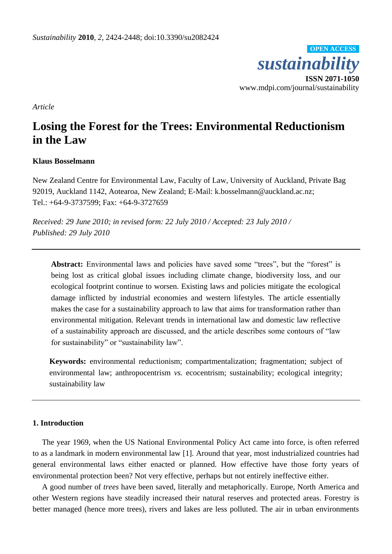

*Article*

# **Losing the Forest for the Trees: Environmental Reductionism in the Law**

#### **Klaus Bosselmann**

New Zealand Centre for Environmental Law, Faculty of Law, University of Auckland, Private Bag 92019, Auckland 1142, Aotearoa, New Zealand; E-Mail: k.bosselmann@auckland.ac.nz; Tel.: +64-9-3737599; Fax: +64-9-3727659

*Received: 29 June 2010; in revised form: 22 July 2010 / Accepted: 23 July 2010 / Published: 29 July 2010*

Abstract: Environmental laws and policies have saved some "trees", but the "forest" is being lost as critical global issues including climate change, biodiversity loss, and our ecological footprint continue to worsen. Existing laws and policies mitigate the ecological damage inflicted by industrial economies and western lifestyles. The article essentially makes the case for a sustainability approach to law that aims for transformation rather than environmental mitigation. Relevant trends in international law and domestic law reflective of a sustainability approach are discussed, and the article describes some contours of "law for sustainability" or "sustainability law".

**Keywords:** environmental reductionism; compartmentalization; fragmentation; subject of environmental law; anthropocentrism *vs.* ecocentrism; sustainability; ecological integrity; sustainability law

### **1. Introduction**

The year 1969, when the US National Environmental Policy Act came into force, is often referred to as a landmark in modern environmental law [1]. Around that year, most industrialized countries had general environmental laws either enacted or planned. How effective have those forty years of environmental protection been? Not very effective, perhaps but not entirely ineffective either.

A good number of *trees* have been saved, literally and metaphorically. Europe, North America and other Western regions have steadily increased their natural reserves and protected areas. Forestry is better managed (hence more trees), rivers and lakes are less polluted. The air in urban environments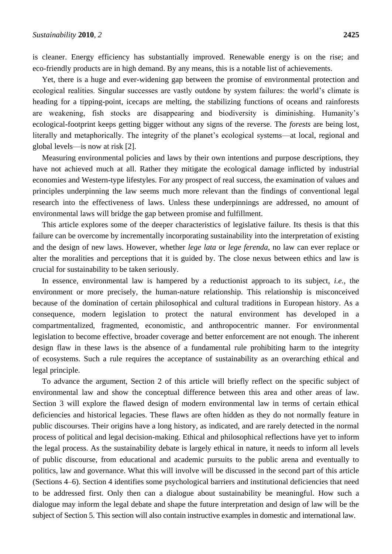is cleaner. Energy efficiency has substantially improved. Renewable energy is on the rise; and eco-friendly products are in high demand. By any means, this is a notable list of achievements.

Yet, there is a huge and ever-widening gap between the promise of environmental protection and ecological realities. Singular successes are vastly outdone by system failures: the world's climate is heading for a tipping-point, icecaps are melting, the stabilizing functions of oceans and rainforests are weakening, fish stocks are disappearing and biodiversity is diminishing. Humanity's ecological-footprint keeps getting bigger without any signs of the reverse. The *forests* are being lost, literally and metaphorically. The integrity of the planet's ecological systems—at local, regional and global levels—is now at risk [2].

Measuring environmental policies and laws by their own intentions and purpose descriptions, they have not achieved much at all. Rather they mitigate the ecological damage inflicted by industrial economies and Western-type lifestyles. For any prospect of real success, the examination of values and principles underpinning the law seems much more relevant than the findings of conventional legal research into the effectiveness of laws. Unless these underpinnings are addressed, no amount of environmental laws will bridge the gap between promise and fulfillment.

This article explores some of the deeper characteristics of legislative failure. Its thesis is that this failure can be overcome by incrementally incorporating sustainability into the interpretation of existing and the design of new laws. However, whether *lege lata* or *lege ferenda*, no law can ever replace or alter the moralities and perceptions that it is guided by. The close nexus between ethics and law is crucial for sustainability to be taken seriously.

In essence, environmental law is hampered by a reductionist approach to its subject, *i.e.*, the environment or more precisely, the human-nature relationship. This relationship is misconceived because of the domination of certain philosophical and cultural traditions in European history. As a consequence, modern legislation to protect the natural environment has developed in a compartmentalized, fragmented, economistic, and anthropocentric manner. For environmental legislation to become effective, broader coverage and better enforcement are not enough. The inherent design flaw in these laws is the absence of a fundamental rule prohibiting harm to the integrity of ecosystems. Such a rule requires the acceptance of sustainability as an overarching ethical and legal principle.

To advance the argument, Section 2 of this article will briefly reflect on the specific subject of environmental law and show the conceptual difference between this area and other areas of law. Section 3 will explore the flawed design of modern environmental law in terms of certain ethical deficiencies and historical legacies. These flaws are often hidden as they do not normally feature in public discourses. Their origins have a long history, as indicated, and are rarely detected in the normal process of political and legal decision-making. Ethical and philosophical reflections have yet to inform the legal process. As the sustainability debate is largely ethical in nature, it needs to inform all levels of public discourse, from educational and academic pursuits to the public arena and eventually to politics, law and governance. What this will involve will be discussed in the second part of this article (Sections 4–6). Section 4 identifies some psychological barriers and institutional deficiencies that need to be addressed first. Only then can a dialogue about sustainability be meaningful. How such a dialogue may inform the legal debate and shape the future interpretation and design of law will be the subject of Section 5. This section will also contain instructive examples in domestic and international law.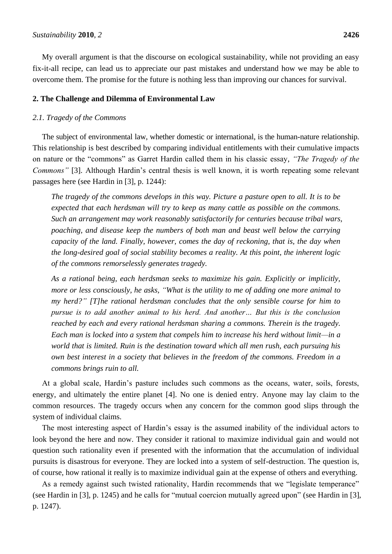My overall argument is that the discourse on ecological sustainability, while not providing an easy fix-it-all recipe, can lead us to appreciate our past mistakes and understand how we may be able to overcome them. The promise for the future is nothing less than improving our chances for survival.

#### **2. The Challenge and Dilemma of Environmental Law**

#### *2.1. Tragedy of the Commons*

The subject of environmental law, whether domestic or international, is the human-nature relationship. This relationship is best described by comparing individual entitlements with their cumulative impacts on nature or the "commons" as Garret Hardin called them in his classic essay, "The Tragedy of the *Commons"* [3]. Although Hardin's central thesis is well known, it is worth repeating some relevant passages here (see Hardin in [3], p. 1244):

*The tragedy of the commons develops in this way. Picture a pasture open to all. It is to be expected that each herdsman will try to keep as many cattle as possible on the commons. Such an arrangement may work reasonably satisfactorily for centuries because tribal wars, poaching, and disease keep the numbers of both man and beast well below the carrying capacity of the land. Finally, however, comes the day of reckoning, that is, the day when the long-desired goal of social stability becomes a reality. At this point, the inherent logic of the commons remorselessly generates tragedy.*

*As a rational being, each herdsman seeks to maximize his gain. Explicitly or implicitly, more or less consciously, he asks, "What is the utility to me of adding one more animal to my herd?" [T]he rational herdsman concludes that the only sensible course for him to pursue is to add another animal to his herd. And another… But this is the conclusion reached by each and every rational herdsman sharing a commons. Therein is the tragedy. Each man is locked into a system that compels him to increase his herd without limit—in a world that is limited. Ruin is the destination toward which all men rush, each pursuing his own best interest in a society that believes in the freedom of the commons. Freedom in a commons brings ruin to all.*

At a global scale, Hardin's pasture includes such commons as the oceans, water, soils, forests, energy, and ultimately the entire planet [4]. No one is denied entry. Anyone may lay claim to the common resources. The tragedy occurs when any concern for the common good slips through the system of individual claims.

The most interesting aspect of Hardin's essay is the assumed inability of the individual actors to look beyond the here and now. They consider it rational to maximize individual gain and would not question such rationality even if presented with the information that the accumulation of individual pursuits is disastrous for everyone. They are locked into a system of self-destruction. The question is, of course, how rational it really is to maximize individual gain at the expense of others and everything.

As a remedy against such twisted rationality, Hardin recommends that we "legislate temperance" (see Hardin in [3], p. 1245) and he calls for "mutual coercion mutually agreed upon" (see Hardin in [3], p. 1247).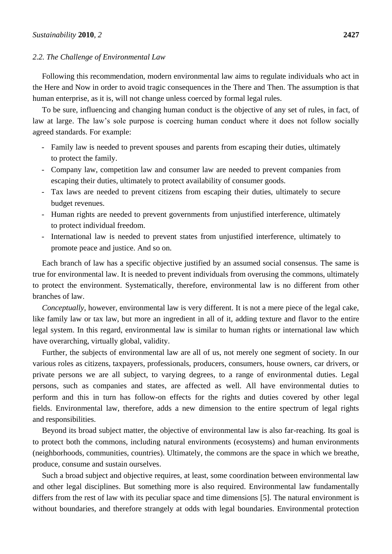### *2.2. The Challenge of Environmental Law*

Following this recommendation, modern environmental law aims to regulate individuals who act in the Here and Now in order to avoid tragic consequences in the There and Then. The assumption is that human enterprise, as it is, will not change unless coerced by formal legal rules.

To be sure, influencing and changing human conduct is the objective of any set of rules, in fact, of law at large. The law's sole purpose is coercing human conduct where it does not follow socially agreed standards. For example:

- Family law is needed to prevent spouses and parents from escaping their duties, ultimately to protect the family.
- Company law, competition law and consumer law are needed to prevent companies from escaping their duties, ultimately to protect availability of consumer goods.
- Tax laws are needed to prevent citizens from escaping their duties, ultimately to secure budget revenues.
- Human rights are needed to prevent governments from unjustified interference, ultimately to protect individual freedom.
- International law is needed to prevent states from unjustified interference, ultimately to promote peace and justice. And so on.

Each branch of law has a specific objective justified by an assumed social consensus. The same is true for environmental law. It is needed to prevent individuals from overusing the commons, ultimately to protect the environment. Systematically, therefore, environmental law is no different from other branches of law.

*Conceptually,* however, environmental law is very different. It is not a mere piece of the legal cake, like family law or tax law, but more an ingredient in all of it, adding texture and flavor to the entire legal system. In this regard, environmental law is similar to human rights or international law which have overarching, virtually global, validity.

Further, the subjects of environmental law are all of us, not merely one segment of society. In our various roles as citizens, taxpayers, professionals, producers, consumers, house owners, car drivers, or private persons we are all subject, to varying degrees, to a range of environmental duties. Legal persons, such as companies and states, are affected as well. All have environmental duties to perform and this in turn has follow-on effects for the rights and duties covered by other legal fields. Environmental law, therefore, adds a new dimension to the entire spectrum of legal rights and responsibilities.

Beyond its broad subject matter, the objective of environmental law is also far-reaching. Its goal is to protect both the commons, including natural environments (ecosystems) and human environments (neighborhoods, communities, countries). Ultimately, the commons are the space in which we breathe, produce, consume and sustain ourselves.

Such a broad subject and objective requires, at least, some coordination between environmental law and other legal disciplines. But something more is also required. Environmental law fundamentally differs from the rest of law with its peculiar space and time dimensions [5]. The natural environment is without boundaries, and therefore strangely at odds with legal boundaries. Environmental protection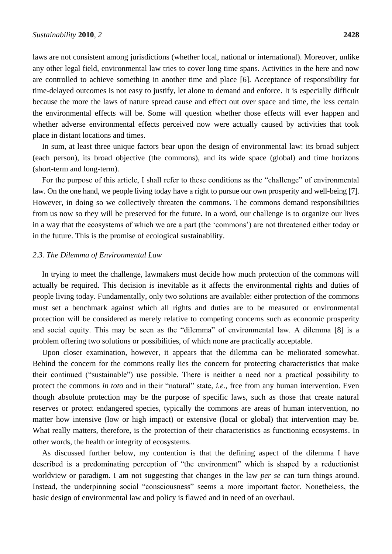laws are not consistent among jurisdictions (whether local, national or international). Moreover, unlike any other legal field, environmental law tries to cover long time spans. Activities in the here and now are controlled to achieve something in another time and place [6]. Acceptance of responsibility for time-delayed outcomes is not easy to justify, let alone to demand and enforce. It is especially difficult because the more the laws of nature spread cause and effect out over space and time, the less certain the environmental effects will be. Some will question whether those effects will ever happen and whether adverse environmental effects perceived now were actually caused by activities that took place in distant locations and times.

In sum, at least three unique factors bear upon the design of environmental law: its broad subject (each person), its broad objective (the commons), and its wide space (global) and time horizons (short-term and long-term).

For the purpose of this article, I shall refer to these conditions as the "challenge" of environmental law. On the one hand, we people living today have a right to pursue our own prosperity and well-being [7]. However, in doing so we collectively threaten the commons. The commons demand responsibilities from us now so they will be preserved for the future. In a word, our challenge is to organize our lives in a way that the ecosystems of which we are a part (the 'commons') are not threatened either today or in the future. This is the promise of ecological sustainability.

#### *2.3. The Dilemma of Environmental Law*

In trying to meet the challenge, lawmakers must decide how much protection of the commons will actually be required. This decision is inevitable as it affects the environmental rights and duties of people living today. Fundamentally, only two solutions are available: either protection of the commons must set a benchmark against which all rights and duties are to be measured or environmental protection will be considered as merely relative to competing concerns such as economic prosperity and social equity. This may be seen as the "dilemma" of environmental law. A dilemma [8] is a problem offering two solutions or possibilities, of which none are practically acceptable.

Upon closer examination, however, it appears that the dilemma can be meliorated somewhat. Behind the concern for the commons really lies the concern for protecting characteristics that make their continued ("sustainable") use possible. There is neither a need nor a practical possibility to protect the commons *in toto* and in their "natural" state, *i.e.*, free from any human intervention. Even though absolute protection may be the purpose of specific laws, such as those that create natural reserves or protect endangered species, typically the commons are areas of human intervention, no matter how intensive (low or high impact) or extensive (local or global) that intervention may be. What really matters, therefore, is the protection of their characteristics as functioning ecosystems. In other words, the health or integrity of ecosystems.

As discussed further below, my contention is that the defining aspect of the dilemma I have described is a predominating perception of "the environment" which is shaped by a reductionist worldview or paradigm. I am not suggesting that changes in the law *per se* can turn things around. Instead, the underpinning social "consciousness" seems a more important factor. Nonetheless, the basic design of environmental law and policy is flawed and in need of an overhaul.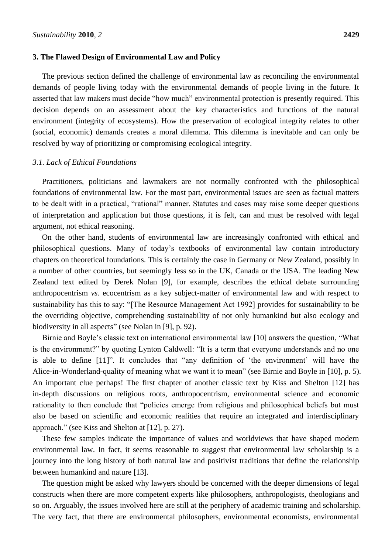#### **3. The Flawed Design of Environmental Law and Policy**

The previous section defined the challenge of environmental law as reconciling the environmental demands of people living today with the environmental demands of people living in the future. It asserted that law makers must decide "how much" environmental protection is presently required. This decision depends on an assessment about the key characteristics and functions of the natural environment (integrity of ecosystems). How the preservation of ecological integrity relates to other (social, economic) demands creates a moral dilemma. This dilemma is inevitable and can only be resolved by way of prioritizing or compromising ecological integrity.

### *3.1. Lack of Ethical Foundations*

Practitioners, politicians and lawmakers are not normally confronted with the philosophical foundations of environmental law. For the most part, environmental issues are seen as factual matters to be dealt with in a practical, "rational" manner. Statutes and cases may raise some deeper questions of interpretation and application but those questions, it is felt, can and must be resolved with legal argument, not ethical reasoning.

On the other hand, students of environmental law are increasingly confronted with ethical and philosophical questions. Many of today's textbooks of environmental law contain introductory chapters on theoretical foundations. This is certainly the case in Germany or New Zealand, possibly in a number of other countries, but seemingly less so in the UK, Canada or the USA. The leading New Zealand text edited by Derek Nolan [9], for example, describes the ethical debate surrounding anthropocentrism *vs.* ecocentrism as a key subject-matter of environmental law and with respect to sustainability has this to say: "[The Resource Management Act 1992] provides for sustainability to be the overriding objective, comprehending sustainability of not only humankind but also ecology and biodiversity in all aspects" (see Nolan in [9], p. 92).

Birnie and Boyle's classic text on international environmental law [10] answers the question, "What is the environment?" by quoting Lynton Caldwell: "It is a term that everyone understands and no one is able to define  $[11]$ ". It concludes that "any definition of 'the environment' will have the Alice-in-Wonderland-quality of meaning what we want it to mean" (see Birnie and Boyle in [10], p. 5). An important clue perhaps! The first chapter of another classic text by Kiss and Shelton [12] has in-depth discussions on religious roots, anthropocentrism, environmental science and economic rationality to then conclude that "policies emerge from religious and philosophical beliefs but must also be based on scientific and economic realities that require an integrated and interdisciplinary approach." (see Kiss and Shelton at [12], p. 27).

These few samples indicate the importance of values and worldviews that have shaped modern environmental law. In fact, it seems reasonable to suggest that environmental law scholarship is a journey into the long history of both natural law and positivist traditions that define the relationship between humankind and nature [13].

The question might be asked why lawyers should be concerned with the deeper dimensions of legal constructs when there are more competent experts like philosophers, anthropologists, theologians and so on. Arguably, the issues involved here are still at the periphery of academic training and scholarship. The very fact, that there are environmental philosophers, environmental economists, environmental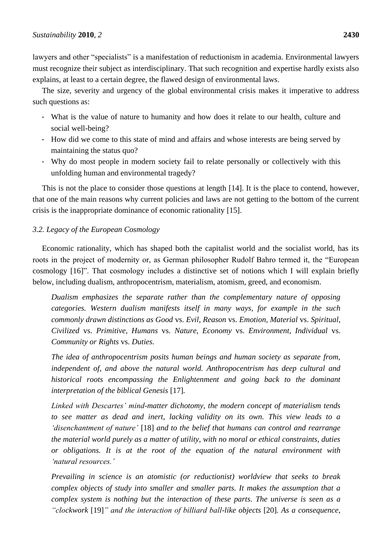lawyers and other "specialists" is a manifestation of reductionism in academia. Environmental lawyers must recognize their subject as interdisciplinary. That such recognition and expertise hardly exists also explains, at least to a certain degree, the flawed design of environmental laws.

The size, severity and urgency of the global environmental crisis makes it imperative to address such questions as:

- What is the value of nature to humanity and how does it relate to our health, culture and social well-being?
- How did we come to this state of mind and affairs and whose interests are being served by maintaining the status quo?
- Why do most people in modern society fail to relate personally or collectively with this unfolding human and environmental tragedy?

This is not the place to consider those questions at length [14]. It is the place to contend, however, that one of the main reasons why current policies and laws are not getting to the bottom of the current crisis is the inappropriate dominance of economic rationality [15].

## *3.2. Legacy of the European Cosmology*

Economic rationality, which has shaped both the capitalist world and the socialist world, has its roots in the project of modernity or, as German philosopher Rudolf Bahro termed it, the "European cosmology [16]". That cosmology includes a distinctive set of notions which I will explain briefly below, including dualism, anthropocentrism, materialism, atomism, greed, and economism.

*Dualism emphasizes the separate rather than the complementary nature of opposing categories. Western dualism manifests itself in many ways, for example in the such commonly drawn distinctions as Good* vs. *Evil, Reason* vs. *Emotion, Material* vs. *Spiritual, Civilized* vs. *Primitive, Humans* vs. *Nature, Economy* vs. *Environment, Individual* vs. *Community or Rights* vs. *Duties.*

*The idea of anthropocentrism posits human beings and human society as separate from, independent of, and above the natural world. Anthropocentrism has deep cultural and historical roots encompassing the Enlightenment and going back to the dominant interpretation of the biblical Genesis* [17]*.* 

*Linked with Descartes" mind-matter dichotomy, the modern concept of materialism tends to see matter as dead and inert, lacking validity on its own. This view leads to a "disenchantment of nature"* [18] *and to the belief that humans can control and rearrange the material world purely as a matter of utility, with no moral or ethical constraints, duties or obligations. It is at the root of the equation of the natural environment with "natural resources."* 

*Prevailing in science is an atomistic (or reductionist) worldview that seeks to break complex objects of study into smaller and smaller parts. It makes the assumption that a complex system is nothing but the interaction of these parts. The universe is seen as a "clockwork* [19]*" and the interaction of billiard ball-like objects* [20]*. As a consequence,*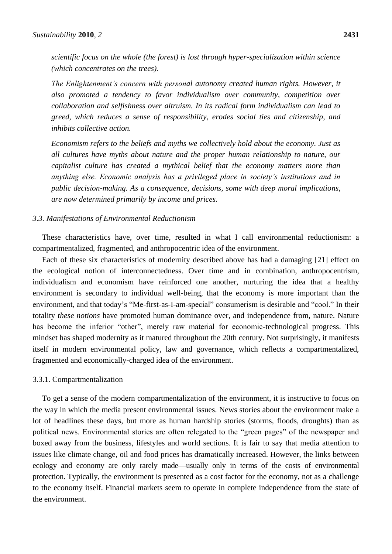*scientific focus on the whole (the forest) is lost through hyper-specialization within science (which concentrates on the trees).*

*The Enlightenment"s concern with personal autonomy created human rights. However, it also promoted a tendency to favor individualism over community, competition over collaboration and selfishness over altruism. In its radical form individualism can lead to greed, which reduces a sense of responsibility, erodes social ties and citizenship, and inhibits collective action.* 

*Economism refers to the beliefs and myths we collectively hold about the economy. Just as all cultures have myths about nature and the proper human relationship to nature, our capitalist culture has created a mythical belief that the economy matters more than anything else. Economic analysis has a privileged place in society"s institutions and in public decision-making. As a consequence, decisions, some with deep moral implications, are now determined primarily by income and prices.* 

### *3.3. Manifestations of Environmental Reductionism*

These characteristics have, over time, resulted in what I call environmental reductionism: a compartmentalized, fragmented, and anthropocentric idea of the environment.

Each of these six characteristics of modernity described above has had a damaging [21] effect on the ecological notion of interconnectedness. Over time and in combination, anthropocentrism, individualism and economism have reinforced one another, nurturing the idea that a healthy environment is secondary to individual well-being, that the economy is more important than the environment, and that today's "Me-first-as-I-am-special" consumerism is desirable and "cool." In their totality *these notions* have promoted human dominance over, and independence from, nature. Nature has become the inferior "other", merely raw material for economic-technological progress. This mindset has shaped modernity as it matured throughout the 20th century. Not surprisingly, it manifests itself in modern environmental policy, law and governance, which reflects a compartmentalized, fragmented and economically-charged idea of the environment.

#### 3.3.1. Compartmentalization

To get a sense of the modern compartmentalization of the environment, it is instructive to focus on the way in which the media present environmental issues. News stories about the environment make a lot of headlines these days, but more as human hardship stories (storms, floods, droughts) than as political news. Environmental stories are often relegated to the "green pages" of the newspaper and boxed away from the business, lifestyles and world sections. It is fair to say that media attention to issues like climate change, oil and food prices has dramatically increased. However, the links between ecology and economy are only rarely made—usually only in terms of the costs of environmental protection. Typically, the environment is presented as a cost factor for the economy, not as a challenge to the economy itself. Financial markets seem to operate in complete independence from the state of the environment.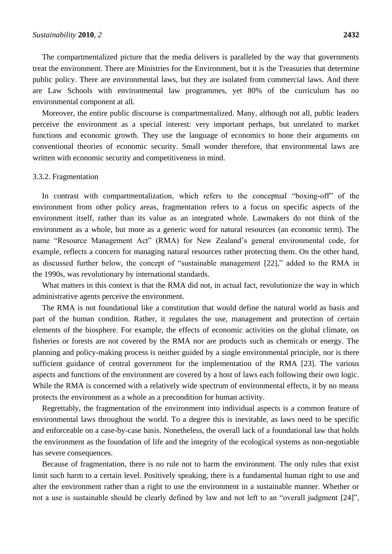The compartmentalized picture that the media delivers is paralleled by the way that governments treat the environment. There are Ministries for the Environment, but it is the Treasuries that determine public policy. There are environmental laws, but they are isolated from commercial laws. And there are Law Schools with environmental law programmes, yet 80% of the curriculum has no environmental component at all.

Moreover, the entire public discourse is compartmentalized. Many, although not all, public leaders perceive the environment as a special interest: very important perhaps, but unrelated to market functions and economic growth. They use the language of economics to hone their arguments on conventional theories of economic security. Small wonder therefore, that environmental laws are written with economic security and competitiveness in mind.

#### 3.3.2. Fragmentation

In contrast with compartmentalization, which refers to the conceptual "boxing-off" of the environment from other policy areas, fragmentation refers to a focus on specific aspects of the environment itself, rather than its value as an integrated whole. Lawmakers do not think of the environment as a whole, but more as a generic word for natural resources (an economic term). The name "Resource Management Act" (RMA) for New Zealand's general environmental code, for example, reflects a concern for managing natural resources rather protecting them. On the other hand, as discussed further below, the concept of "sustainable management [22]," added to the RMA in the 1990s, was revolutionary by international standards.

What matters in this context is that the RMA did not, in actual fact, revolutionize the way in which administrative agents perceive the environment.

The RMA is not foundational like a constitution that would define the natural world as basis and part of the human condition. Rather, it regulates the use, management and protection of certain elements of the biosphere. For example, the effects of economic activities on the global climate, on fisheries or forests are not covered by the RMA nor are products such as chemicals or energy. The planning and policy-making process is neither guided by a single environmental principle, nor is there sufficient guidance of central government for the implementation of the RMA [23]. The various aspects and functions of the environment are covered by a host of laws each following their own logic. While the RMA is concerned with a relatively wide spectrum of environmental effects, it by no means protects the environment as a whole as a precondition for human activity.

Regrettably, the fragmentation of the environment into individual aspects is a common feature of environmental laws throughout the world. To a degree this is inevitable, as laws need to be specific and enforceable on a case-by-case basis. Nonetheless, the overall lack of a foundational law that holds the environment as the foundation of life and the integrity of the ecological systems as non-negotiable has severe consequences.

Because of fragmentation, there is no rule not to harm the environment. The only rules that exist limit such harm to a certain level. Positively speaking, there is a fundamental human right to use and alter the environment rather than a right to use the environment in a sustainable manner. Whether or not a use is sustainable should be clearly defined by law and not left to an "overall judgment [24]",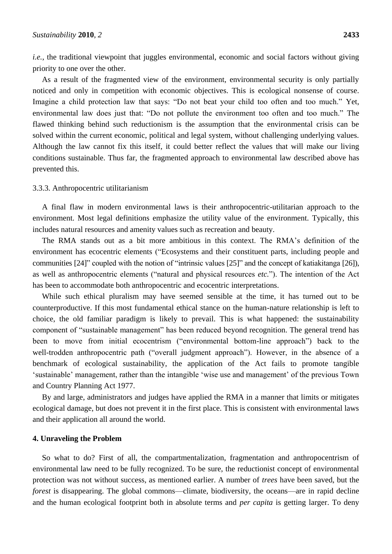*i.e.*, the traditional viewpoint that juggles environmental, economic and social factors without giving priority to one over the other.

As a result of the fragmented view of the environment, environmental security is only partially noticed and only in competition with economic objectives. This is ecological nonsense of course. Imagine a child protection law that says: "Do not beat your child too often and too much." Yet, environmental law does just that: "Do not pollute the environment too often and too much." The flawed thinking behind such reductionism is the assumption that the environmental crisis can be solved within the current economic, political and legal system, without challenging underlying values. Although the law cannot fix this itself, it could better reflect the values that will make our living conditions sustainable. Thus far, the fragmented approach to environmental law described above has prevented this.

#### 3.3.3. Anthropocentric utilitarianism

A final flaw in modern environmental laws is their anthropocentric-utilitarian approach to the environment. Most legal definitions emphasize the utility value of the environment. Typically, this includes natural resources and amenity values such as recreation and beauty.

The RMA stands out as a bit more ambitious in this context. The RMA's definition of the environment has ecocentric elements ("Ecosystems and their constituent parts, including people and communities  $[24]$  coupled with the notion of "intrinsic values  $[25]$ " and the concept of katiakitanga  $[26]$ ), as well as anthropocentric elements ("natural and physical resources *etc.*"). The intention of the Act has been to accommodate both anthropocentric and ecocentric interpretations.

While such ethical pluralism may have seemed sensible at the time, it has turned out to be counterproductive. If this most fundamental ethical stance on the human-nature relationship is left to choice, the old familiar paradigm is likely to prevail. This is what happened: the sustainability component of "sustainable management" has been reduced beyond recognition. The general trend has been to move from initial ecocentrism ("environmental bottom-line approach") back to the well-trodden anthropocentric path ("overall judgment approach"). However, in the absence of a benchmark of ecological sustainability, the application of the Act fails to promote tangible ‗sustainable' management, rather than the intangible ‗wise use and management' of the previous Town and Country Planning Act 1977.

By and large, administrators and judges have applied the RMA in a manner that limits or mitigates ecological damage, but does not prevent it in the first place. This is consistent with environmental laws and their application all around the world.

#### **4. Unraveling the Problem**

So what to do? First of all, the compartmentalization, fragmentation and anthropocentrism of environmental law need to be fully recognized. To be sure, the reductionist concept of environmental protection was not without success, as mentioned earlier. A number of *trees* have been saved, but the *forest* is disappearing. The global commons—climate, biodiversity, the oceans—are in rapid decline and the human ecological footprint both in absolute terms and *per capita* is getting larger. To deny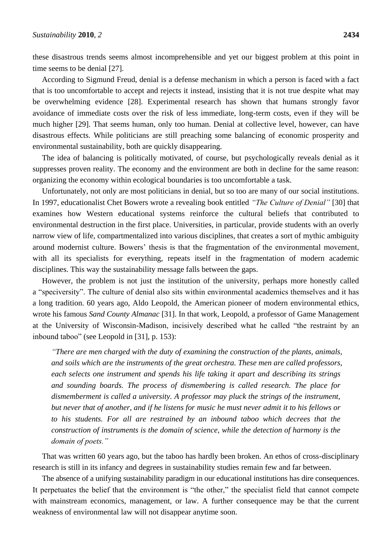these disastrous trends seems almost incomprehensible and yet our biggest problem at this point in time seems to be denial [27].

According to Sigmund Freud, denial is a defense mechanism in which a person is faced with a fact that is too uncomfortable to accept and rejects it instead, insisting that it is not true despite what may be overwhelming evidence [28]. Experimental research has shown that humans strongly favor avoidance of immediate costs over the risk of less immediate, long-term costs, even if they will be much higher [29]. That seems human, only too human. Denial at collective level, however, can have disastrous effects. While politicians are still preaching some balancing of economic prosperity and environmental sustainability, both are quickly disappearing.

The idea of balancing is politically motivated, of course, but psychologically reveals denial as it suppresses proven reality. The economy and the environment are both in decline for the same reason: organizing the economy within ecological boundaries is too uncomfortable a task.

Unfortunately, not only are most politicians in denial, but so too are many of our social institutions. In 1997, educationalist Chet Bowers wrote a revealing book entitled *"The Culture of Denial"* [30] that examines how Western educational systems reinforce the cultural beliefs that contributed to environmental destruction in the first place. Universities, in particular, provide students with an overly narrow view of life, compartmentalized into various disciplines, that creates a sort of mythic ambiguity around modernist culture. Bowers' thesis is that the fragmentation of the environmental movement, with all its specialists for everything, repeats itself in the fragmentation of modern academic disciplines. This way the sustainability message falls between the gaps.

However, the problem is not just the institution of the university, perhaps more honestly called a "speciversity". The culture of denial also sits within environmental academics themselves and it has a long tradition. 60 years ago, Aldo Leopold, the American pioneer of modern environmental ethics, wrote his famous *Sand County Almanac* [31]. In that work, Leopold, a professor of Game Management at the University of Wisconsin-Madison, incisively described what he called "the restraint by an inbound taboo" (see Leopold in  $[31]$ , p. 153):

*"There are men charged with the duty of examining the construction of the plants, animals, and soils which are the instruments of the great orchestra. These men are called professors, each selects one instrument and spends his life taking it apart and describing its strings and sounding boards. The process of dismembering is called research. The place for dismemberment is called a university. A professor may pluck the strings of the instrument, but never that of another, and if he listens for music he must never admit it to his fellows or to his students. For all are restrained by an inbound taboo which decrees that the construction of instruments is the domain of science, while the detection of harmony is the domain of poets."*

That was written 60 years ago, but the taboo has hardly been broken. An ethos of cross-disciplinary research is still in its infancy and degrees in sustainability studies remain few and far between.

The absence of a unifying sustainability paradigm in our educational institutions has dire consequences. It perpetuates the belief that the environment is "the other," the specialist field that cannot compete with mainstream economics, management, or law. A further consequence may be that the current weakness of environmental law will not disappear anytime soon.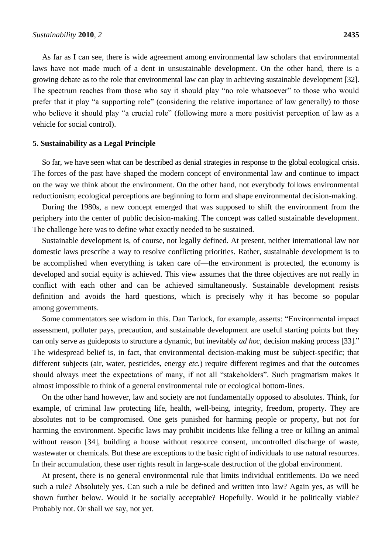As far as I can see, there is wide agreement among environmental law scholars that environmental laws have not made much of a dent in unsustainable development. On the other hand, there is a growing debate as to the role that environmental law can play in achieving sustainable development [32]. The spectrum reaches from those who say it should play "no role whatsoever" to those who would prefer that it play "a supporting role" (considering the relative importance of law generally) to those who believe it should play "a crucial role" (following more a more positivist perception of law as a vehicle for social control).

#### **5. Sustainability as a Legal Principle**

So far, we have seen what can be described as denial strategies in response to the global ecological crisis. The forces of the past have shaped the modern concept of environmental law and continue to impact on the way we think about the environment. On the other hand, not everybody follows environmental reductionism; ecological perceptions are beginning to form and shape environmental decision-making.

During the 1980s, a new concept emerged that was supposed to shift the environment from the periphery into the center of public decision-making. The concept was called sustainable development. The challenge here was to define what exactly needed to be sustained.

Sustainable development is, of course, not legally defined. At present, neither international law nor domestic laws prescribe a way to resolve conflicting priorities. Rather, sustainable development is to be accomplished when everything is taken care of—the environment is protected, the economy is developed and social equity is achieved. This view assumes that the three objectives are not really in conflict with each other and can be achieved simultaneously. Sustainable development resists definition and avoids the hard questions, which is precisely why it has become so popular among governments.

Some commentators see wisdom in this. Dan Tarlock, for example, asserts: "Environmental impact assessment, polluter pays, precaution, and sustainable development are useful starting points but they can only serve as guideposts to structure a dynamic, but inevitably *ad hoc*, decision making process [33]." The widespread belief is, in fact, that environmental decision-making must be subject-specific; that different subjects (air, water, pesticides, energy *etc.*) require different regimes and that the outcomes should always meet the expectations of many, if not all "stakeholders". Such pragmatism makes it almost impossible to think of a general environmental rule or ecological bottom-lines.

On the other hand however, law and society are not fundamentally opposed to absolutes. Think, for example, of criminal law protecting life, health, well-being, integrity, freedom, property. They are absolutes not to be compromised. One gets punished for harming people or property, but not for harming the environment. Specific laws may prohibit incidents like felling a tree or killing an animal without reason [34], building a house without resource consent, uncontrolled discharge of waste, wastewater or chemicals. But these are exceptions to the basic right of individuals to use natural resources. In their accumulation, these user rights result in large-scale destruction of the global environment.

At present, there is no general environmental rule that limits individual entitlements. Do we need such a rule? Absolutely yes. Can such a rule be defined and written into law? Again yes, as will be shown further below. Would it be socially acceptable? Hopefully. Would it be politically viable? Probably not. Or shall we say, not yet.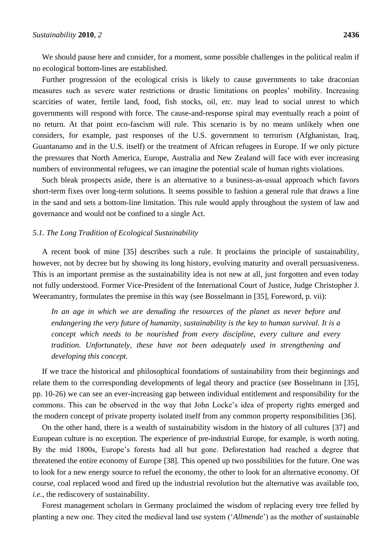We should pause here and consider, for a moment, some possible challenges in the political realm if no ecological bottom-lines are established.

Further progression of the ecological crisis is likely to cause governments to take draconian measures such as severe water restrictions or drastic limitations on peoples' mobility. Increasing scarcities of water, fertile land, food, fish stocks, oil, *etc.* may lead to social unrest to which governments will respond with force. The cause-and-response spiral may eventually reach a point of no return. At that point eco-fascism will rule. This scenario is by no means unlikely when one considers, for example, past responses of the U.S. government to terrorism (Afghanistan, Iraq, Guantanamo and in the U.S. itself) or the treatment of African refugees in Europe. If we only picture the pressures that North America, Europe, Australia and New Zealand will face with ever increasing numbers of environmental refugees, we can imagine the potential scale of human rights violations.

Such bleak prospects aside, there is an alternative to a business-as-usual approach which favors short-term fixes over long-term solutions. It seems possible to fashion a general rule that draws a line in the sand and sets a bottom-line limitation. This rule would apply throughout the system of law and governance and would not be confined to a single Act.

#### *5.1. The Long Tradition of Ecological Sustainability*

A recent book of mine [35] describes such a rule. It proclaims the principle of sustainability, however, not by decree but by showing its long history, evolving maturity and overall persuasiveness. This is an important premise as the sustainability idea is not new at all, just forgotten and even today not fully understood. Former Vice-President of the International Court of Justice, Judge Christopher J. Weeramantry, formulates the premise in this way (see Bosselmann in [35], Foreword, p. vii):

In an age in which we are denuding the resources of the planet as never before and *endangering the very future of humanity, sustainability is the key to human survival. It is a concept which needs to be nourished from every discipline, every culture and every tradition. Unfortunately, these have not been adequately used in strengthening and developing this concept.* 

If we trace the historical and philosophical foundations of sustainability from their beginnings and relate them to the corresponding developments of legal theory and practice (see Bosselmann in [35], pp. 10-26) we can see an ever-increasing gap between individual entitlement and responsibility for the commons. This can be observed in the way that John Locke's idea of property rights emerged and the modern concept of private property isolated itself from any common property responsibilities [36].

On the other hand, there is a wealth of sustainability wisdom in the history of all cultures [37] and European culture is no exception. The experience of pre-industrial Europe, for example, is worth noting. By the mid 1800s, Europe's forests had all but gone. Deforestation had reached a degree that threatened the entire economy of Europe [38]. This opened up two possibilities for the future. One was to look for a new energy source to refuel the economy, the other to look for an alternative economy. Of course, coal replaced wood and fired up the industrial revolution but the alternative was available too, *i.e.*, the rediscovery of sustainability.

Forest management scholars in Germany proclaimed the wisdom of replacing every tree felled by planting a new one. They cited the medieval land use system (‗*Allmende*') as the mother of sustainable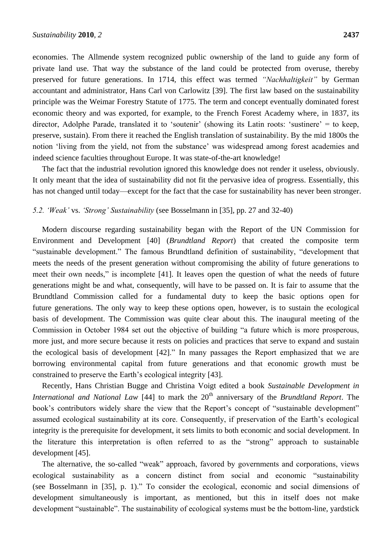economies. The Allmende system recognized public ownership of the land to guide any form of private land use. That way the substance of the land could be protected from overuse, thereby preserved for future generations. In 1714, this effect was termed *"Nachhaltigkeit"* by German accountant and administrator, Hans Carl von Carlowitz [39]. The first law based on the sustainability principle was the Weimar Forestry Statute of 1775. The term and concept eventually dominated forest economic theory and was exported, for example, to the French Forest Academy where, in 1837, its director, Adolphe Parade, translated it to 'soutenir' (showing its Latin roots: 'sustinere' = to keep, preserve, sustain). From there it reached the English translation of sustainability. By the mid 1800s the notion 'living from the yield, not from the substance' was widespread among forest academies and indeed science faculties throughout Europe. It was state-of-the-art knowledge!

The fact that the industrial revolution ignored this knowledge does not render it useless, obviously. It only meant that the idea of sustainability did not fit the pervasive idea of progress. Essentially, this has not changed until today—except for the fact that the case for sustainability has never been stronger.

#### *5.2. "Weak"* vs. *"Strong" Sustainability* (see Bosselmann in [35], pp. 27 and 32-40)

Modern discourse regarding sustainability began with the Report of the UN Commission for Environment and Development [40] (*Brundtland Report*) that created the composite term "sustainable development." The famous Brundtland definition of sustainability, "development that meets the needs of the present generation without compromising the ability of future generations to meet their own needs," is incomplete [41]. It leaves open the question of what the needs of future generations might be and what, consequently, will have to be passed on. It is fair to assume that the Brundtland Commission called for a fundamental duty to keep the basic options open for future generations. The only way to keep these options open, however, is to sustain the ecological basis of development. The Commission was quite clear about this. The inaugural meeting of the Commission in October 1984 set out the objective of building "a future which is more prosperous, more just, and more secure because it rests on policies and practices that serve to expand and sustain the ecological basis of development  $[42]$ ." In many passages the Report emphasized that we are borrowing environmental capital from future generations and that economic growth must be constrained to preserve the Earth's ecological integrity [43].

Recently, Hans Christian Bugge and Christina Voigt edited a book *Sustainable Development in International and National Law* [44] to mark the 20<sup>th</sup> anniversary of the *Brundtland Report*. The book's contributors widely share the view that the Report's concept of "sustainable development" assumed ecological sustainability at its core. Consequently, if preservation of the Earth's ecological integrity is the prerequisite for development, it sets limits to both economic and social development. In the literature this interpretation is often referred to as the "strong" approach to sustainable development [45].

The alternative, the so-called "weak" approach, favored by governments and corporations, views ecological sustainability as a concern distinct from social and economic "sustainability (see Bosselmann in [35], p. 1)." To consider the ecological, economic and social dimensions of development simultaneously is important, as mentioned, but this in itself does not make development "sustainable". The sustainability of ecological systems must be the bottom-line, yardstick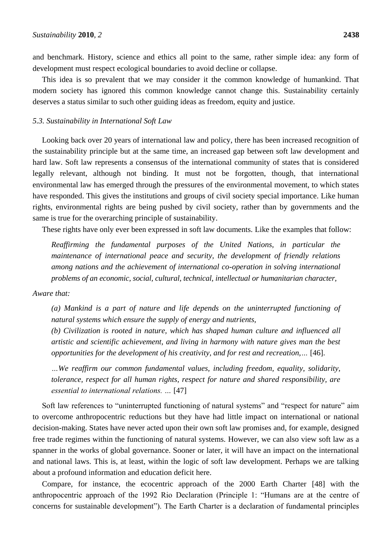and benchmark. History, science and ethics all point to the same, rather simple idea: any form of development must respect ecological boundaries to avoid decline or collapse.

This idea is so prevalent that we may consider it the common knowledge of humankind. That modern society has ignored this common knowledge cannot change this. Sustainability certainly deserves a status similar to such other guiding ideas as freedom, equity and justice.

#### *5.3. Sustainability in International Soft Law*

Looking back over 20 years of international law and policy, there has been increased recognition of the sustainability principle but at the same time, an increased gap between soft law development and hard law. Soft law represents a consensus of the international community of states that is considered legally relevant, although not binding. It must not be forgotten, though, that international environmental law has emerged through the pressures of the environmental movement, to which states have responded. This gives the institutions and groups of civil society special importance. Like human rights, environmental rights are being pushed by civil society, rather than by governments and the same is true for the overarching principle of sustainability.

These rights have only ever been expressed in soft law documents. Like the examples that follow:

*Reaffirming the fundamental purposes of the United Nations, in particular the maintenance of international peace and security, the development of friendly relations among nations and the achievement of international co-operation in solving international problems of an economic, social, cultural, technical, intellectual or humanitarian character,*

#### *Aware that:*

*(a) Mankind is a part of nature and life depends on the uninterrupted functioning of natural systems which ensure the supply of energy and nutrients,*

*(b) Civilization is rooted in nature, which has shaped human culture and influenced all artistic and scientific achievement, and living in harmony with nature gives man the best opportunities for the development of his creativity, and for rest and recreation,…* [46].

*…We reaffirm our common fundamental values, including freedom, equality, solidarity, tolerance, respect for all human rights, respect for nature and shared responsibility, are essential to international relations. …* [47]

Soft law references to "uninterrupted functioning of natural systems" and "respect for nature" aim to overcome anthropocentric reductions but they have had little impact on international or national decision-making. States have never acted upon their own soft law promises and, for example, designed free trade regimes within the functioning of natural systems. However, we can also view soft law as a spanner in the works of global governance. Sooner or later, it will have an impact on the international and national laws. This is, at least, within the logic of soft law development. Perhaps we are talking about a profound information and education deficit here.

Compare, for instance, the ecocentric approach of the 2000 Earth Charter [48] with the anthropocentric approach of the 1992 Rio Declaration (Principle 1: "Humans are at the centre of concerns for sustainable development"). The Earth Charter is a declaration of fundamental principles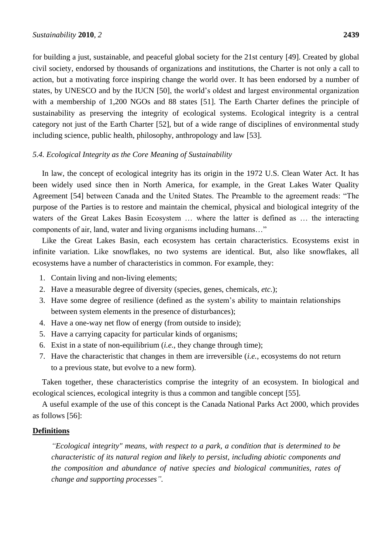for building a just, sustainable, and peaceful global society for the 21st century [49]. Created by global civil society, endorsed by thousands of organizations and institutions, the Charter is not only a call to action, but a motivating force inspiring change the world over. It has been endorsed by a number of states, by UNESCO and by the IUCN [50], the world's oldest and largest environmental organization with a membership of 1,200 NGOs and 88 states [51]. The Earth Charter defines the principle of sustainability as preserving the integrity of ecological systems. Ecological integrity is a central category not just of the Earth Charter [52], but of a wide range of disciplines of environmental study including science, public health, philosophy, anthropology and law [53].

### *5.4. Ecological Integrity as the Core Meaning of Sustainability*

In law, the concept of ecological integrity has its origin in the 1972 U.S. Clean Water Act. It has been widely used since then in North America, for example, in the Great Lakes Water Quality Agreement [54] between Canada and the United States. The Preamble to the agreement reads: "The purpose of the Parties is to restore and maintain the chemical, physical and biological integrity of the waters of the Great Lakes Basin Ecosystem … where the latter is defined as … the interacting components of air, land, water and living organisms including humans..."

Like the Great Lakes Basin, each ecosystem has certain characteristics. Ecosystems exist in infinite variation. Like snowflakes, no two systems are identical. But, also like snowflakes, all ecosystems have a number of characteristics in common. For example, they:

- 1. Contain living and non-living elements;
- 2. Have a measurable degree of diversity (species, genes, chemicals, *etc.*);
- 3. Have some degree of resilience (defined as the system's ability to maintain relationships between system elements in the presence of disturbances);
- 4. Have a one-way net flow of energy (from outside to inside);
- 5. Have a carrying capacity for particular kinds of organisms;
- 6. Exist in a state of non-equilibrium (*i.e.*, they change through time);
- 7. Have the characteristic that changes in them are irreversible (*i.e.*, ecosystems do not return to a previous state, but evolve to a new form).

Taken together, these characteristics comprise the integrity of an ecosystem. In biological and ecological sciences, ecological integrity is thus a common and tangible concept [55].

A useful example of the use of this concept is the Canada National Parks Act 2000, which provides as follows [56]:

### **Definitions**

*"Ecological integrity" means, with respect to a park, a condition that is determined to be characteristic of its natural region and likely to persist, including abiotic components and the composition and abundance of native species and biological communities, rates of change and supporting processes".*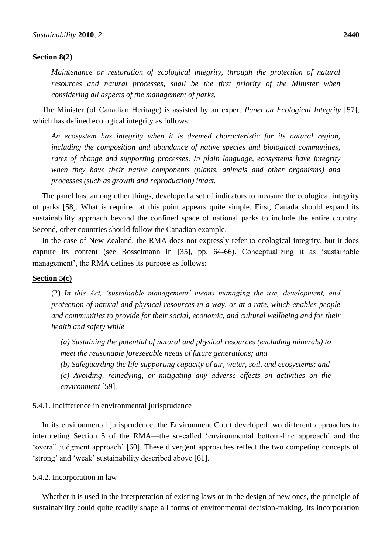#### **Section 8(2)**

*Maintenance or restoration of ecological integrity, through the protection of natural resources and natural processes, shall be the first priority of the Minister when considering all aspects of the management of parks.*

The Minister (of Canadian Heritage) is assisted by an expert *Panel on Ecological Integrity* [57], which has defined ecological integrity as follows:

*An ecosystem has integrity when it is deemed characteristic for its natural region, including the composition and abundance of native species and biological communities, rates of change and supporting processes. In plain language, ecosystems have integrity when they have their native components (plants, animals and other organisms) and processes (such as growth and reproduction) intact.*

The panel has, among other things, developed a set of indicators to measure the ecological integrity of parks [58]. What is required at this point appears quite simple. First, Canada should expand its sustainability approach beyond the confined space of national parks to include the entire country. Second, other countries should follow the Canadian example.

In the case of New Zealand, the RMA does not expressly refer to ecological integrity, but it does capture its content (see Bosselmann in [35], pp. 64-66). Conceptualizing it as 'sustainable management', the RMA defines its purpose as follows:

### **Section 5(c)**

(2) *In this Act, "sustainable management" means managing the use, development, and protection of natural and physical resources in a way, or at a rate, which enables people and communities to provide for their social, economic, and cultural wellbeing and for their health and safety while*

*(a) Sustaining the potential of natural and physical resources (excluding minerals) to meet the reasonable foreseeable needs of future generations; and*

*(b) Safeguarding the life-supporting capacity of air, water, soil, and ecosystems; and (c) Avoiding, remedying, or mitigating any adverse effects on activities on the environment* [59]*.*

#### 5.4.1. Indifference in environmental jurisprudence

In its environmental jurisprudence, the Environment Court developed two different approaches to interpreting Section 5 of the RMA—the so-called ‗environmental bottom-line approach' and the ‗overall judgment approach' [60]. These divergent approaches reflect the two competing concepts of ‗strong' and ‗weak' sustainability described above [61].

5.4.2. Incorporation in law

Whether it is used in the interpretation of existing laws or in the design of new ones, the principle of sustainability could quite readily shape all forms of environmental decision-making. Its incorporation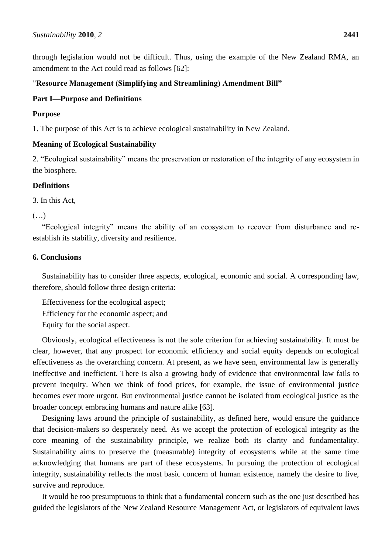through legislation would not be difficult. Thus, using the example of the New Zealand RMA, an amendment to the Act could read as follows [62]:

# ―**Resource Management (Simplifying and Streamlining) Amendment Bill"**

# **Part I—Purpose and Definitions**

# **Purpose**

1. The purpose of this Act is to achieve ecological sustainability in New Zealand.

# **Meaning of Ecological Sustainability**

2. "Ecological sustainability" means the preservation or restoration of the integrity of any ecosystem in the biosphere.

# **Definitions**

3. In this Act,

(…)

―Ecological integrity‖ means the ability of an ecosystem to recover from disturbance and reestablish its stability, diversity and resilience.

### **6. Conclusions**

Sustainability has to consider three aspects, ecological, economic and social. A corresponding law, therefore, should follow three design criteria:

Effectiveness for the ecological aspect; Efficiency for the economic aspect; and Equity for the social aspect.

Obviously, ecological effectiveness is not the sole criterion for achieving sustainability. It must be clear, however, that any prospect for economic efficiency and social equity depends on ecological effectiveness as the overarching concern. At present, as we have seen, environmental law is generally ineffective and inefficient. There is also a growing body of evidence that environmental law fails to prevent inequity. When we think of food prices, for example, the issue of environmental justice becomes ever more urgent. But environmental justice cannot be isolated from ecological justice as the broader concept embracing humans and nature alike [63].

Designing laws around the principle of sustainability, as defined here, would ensure the guidance that decision-makers so desperately need. As we accept the protection of ecological integrity as the core meaning of the sustainability principle, we realize both its clarity and fundamentality. Sustainability aims to preserve the (measurable) integrity of ecosystems while at the same time acknowledging that humans are part of these ecosystems. In pursuing the protection of ecological integrity, sustainability reflects the most basic concern of human existence, namely the desire to live, survive and reproduce.

It would be too presumptuous to think that a fundamental concern such as the one just described has guided the legislators of the New Zealand Resource Management Act, or legislators of equivalent laws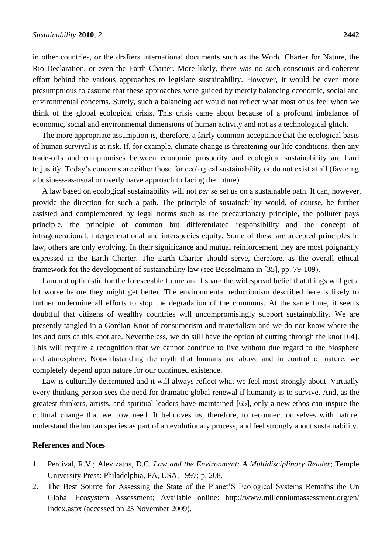in other countries, or the drafters international documents such as the World Charter for Nature, the Rio Declaration, or even the Earth Charter. More likely, there was no such conscious and coherent effort behind the various approaches to legislate sustainability. However, it would be even more presumptuous to assume that these approaches were guided by merely balancing economic, social and environmental concerns. Surely, such a balancing act would not reflect what most of us feel when we think of the global ecological crisis. This crisis came about because of a profound imbalance of economic, social and environmental dimensions of human activity and not as a technological glitch.

The more appropriate assumption is, therefore, a fairly common acceptance that the ecological basis of human survival is at risk. If, for example, climate change is threatening our life conditions, then any trade-offs and compromises between economic prosperity and ecological sustainability are hard to justify. Today's concerns are either those for ecological sustainability or do not exist at all (favoring a business-as-usual or overly na we approach to facing the future).

A law based on ecological sustainability will not *per se* set us on a sustainable path. It can, however, provide the direction for such a path. The principle of sustainability would, of course, be further assisted and complemented by legal norms such as the precautionary principle, the polluter pays principle, the principle of common but differentiated responsibility and the concept of intragenerational, intergenerational and interspecies equity. Some of these are accepted principles in law, others are only evolving. In their significance and mutual reinforcement they are most poignantly expressed in the Earth Charter. The Earth Charter should serve, therefore, as the overall ethical framework for the development of sustainability law (see Bosselmann in [35], pp. 79-109).

I am not optimistic for the foreseeable future and I share the widespread belief that things will get a lot worse before they might get better. The environmental reductionism described here is likely to further undermine all efforts to stop the degradation of the commons. At the same time, it seems doubtful that citizens of wealthy countries will uncompromisingly support sustainability. We are presently tangled in a Gordian Knot of consumerism and materialism and we do not know where the ins and outs of this knot are. Nevertheless, we do still have the option of cutting through the knot [64]. This will require a recognition that we cannot continue to live without due regard to the biosphere and atmosphere. Notwithstanding the myth that humans are above and in control of nature, we completely depend upon nature for our continued existence.

Law is culturally determined and it will always reflect what we feel most strongly about. Virtually every thinking person sees the need for dramatic global renewal if humanity is to survive. And, as the greatest thinkers, artists, and spiritual leaders have maintained [65], only a new ethos can inspire the cultural change that we now need. It behooves us, therefore, to reconnect ourselves with nature, understand the human species as part of an evolutionary process, and feel strongly about sustainability.

#### **References and Notes**

- 1. Percival, R.V.; Alevizatos, D.C. *Law and the Environment: A Multidisciplinary Reader*; Temple University Press: Philadelphia, PA, USA, 1997; p. 208.
- 2. The Best Source for Assessing the State of the Planet'S Ecological Systems Remains the Un Global Ecosystem Assessment; Available online: http://www.millenniumassessment.org/en/ Index.aspx (accessed on 25 November 2009).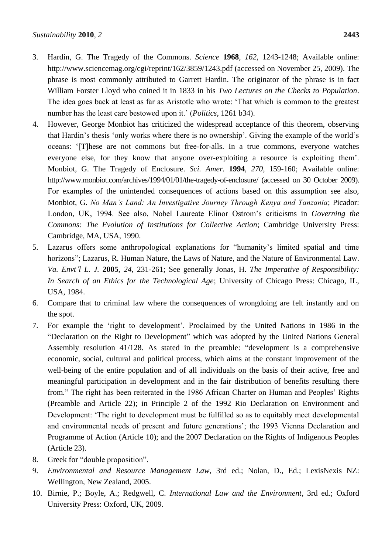- 3. Hardin, G. The Tragedy of the Commons. *Science* **1968**, *162*, 1243-1248; Available online: http://www.sciencemag.org/cgi/reprint/162/3859/1243.pdf (accessed on November 25, 2009). The phrase is most commonly attributed to Garrett Hardin. The originator of the phrase is in fact William Forster Lloyd who coined it in 1833 in his *Two Lectures on the Checks to Population*. The idea goes back at least as far as Aristotle who wrote: ‗That which is common to the greatest number has the least care bestowed upon it.' (*Politics*, 1261 b34).
- 4. However, George Monbiot has criticized the widespread acceptance of this theorem, observing that Hardin's thesis 'only works where there is no ownership'. Giving the example of the world's oceans: ‗[T]hese are not commons but free-for-alls. In a true commons, everyone watches everyone else, for they know that anyone over-exploiting a resource is exploiting them'. Monbiot, G. The Tragedy of Enclosure. *Sci. Amer.* **1994**, *270*, 159-160; Available online: http://www.monbiot.com/archives/1994/01/01/the-tragedy-of-enclosure/ (accessed on 30 October 2009). For examples of the unintended consequences of actions based on this assumption see also, Monbiot, G. *No Man"s Land: An Investigative Journey Through Kenya and Tanzania*; Picador: London, UK, 1994. See also, Nobel Laureate Elinor Ostrom's criticisms in *Governing the Commons: The Evolution of Institutions for Collective Action*; Cambridge University Press: Cambridge, MA, USA, 1990.
- 5. Lazarus offers some anthropological explanations for "humanity's limited spatial and time horizons"; Lazarus, R. Human Nature, the Laws of Nature, and the Nature of Environmental Law. *Va. Envt"l L. J.* **2005**, *24*, 231-261; See generally Jonas, H. *The Imperative of Responsibility: In Search of an Ethics for the Technological Age*; University of Chicago Press: Chicago, IL, USA, 1984.
- 6. Compare that to criminal law where the consequences of wrongdoing are felt instantly and on the spot.
- 7. For example the ‗right to development'. Proclaimed by the United Nations in 1986 in the "Declaration on the Right to Development" which was adopted by the United Nations General Assembly resolution  $41/128$ . As stated in the preamble: "development is a comprehensive economic, social, cultural and political process, which aims at the constant improvement of the well-being of the entire population and of all individuals on the basis of their active, free and meaningful participation in development and in the fair distribution of benefits resulting there from.‖ The right has been reiterated in the 1986 African Charter on Human and Peoples' Rights (Preamble and Article 22); in Principle 2 of the 1992 Rio Declaration on Environment and Development: 'The right to development must be fulfilled so as to equitably meet developmental and environmental needs of present and future generations'; the 1993 Vienna Declaration and Programme of Action (Article 10); and the 2007 Declaration on the Rights of Indigenous Peoples (Article 23).
- 8. Greek for "double proposition".
- 9. *Environmental and Resource Management Law*, 3rd ed.; Nolan, D., Ed.; LexisNexis NZ: Wellington, New Zealand, 2005.
- 10. Birnie, P.; Boyle, A.; Redgwell, C. *International Law and the Environment*, 3rd ed.; Oxford University Press: Oxford, UK, 2009.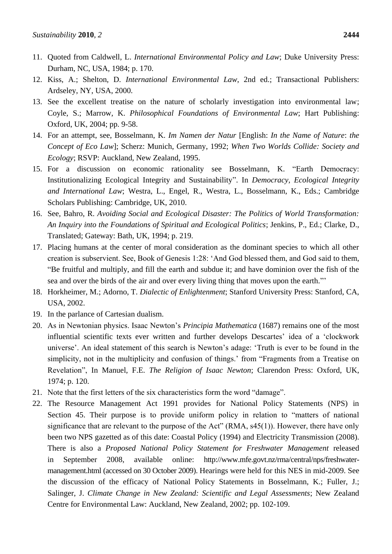- 11. Quoted from Caldwell, L. *International Environmental Policy and Law*; Duke University Press: Durham, NC, USA, 1984; p. 170.
- 12. Kiss, A.; Shelton, D. *International Environmental Law*, 2nd ed.; Transactional Publishers: Ardseley, NY, USA, 2000.
- 13. See the excellent treatise on the nature of scholarly investigation into environmental law; Coyle, S.; Marrow, K. *Philosophical Foundations of Environmental Law*; Hart Publishing: Oxford, UK, 2004; pp. 9-58.
- 14. For an attempt, see, Bosselmann, K. *Im Namen der Natur* [English: *In the Name of Nature*: *the Concept of Eco Law*]; Scherz: Munich, Germany, 1992; *When Two Worlds Collide: Society and Ecology*; RSVP: Auckland, New Zealand, 1995.
- 15. For a discussion on economic rationality see Bosselmann, K. "Earth Democracy: Institutionalizing Ecological Integrity and Sustainability". In *Democracy, Ecological Integrity and International Law*; Westra, L., Engel, R., Westra, L., Bosselmann, K., Eds.; Cambridge Scholars Publishing: Cambridge, UK, 2010.
- 16. See, Bahro, R. *Avoiding Social and Ecological Disaster: The Politics of World Transformation: An Inquiry into the Foundations of Spiritual and Ecological Politics*; Jenkins, P., Ed.; Clarke, D., Translated; Gateway: Bath, UK, 1994; p. 219.
- 17. Placing humans at the center of moral consideration as the dominant species to which all other creation is subservient. See, Book of Genesis 1:28: ‗And God blessed them, and God said to them, ―Be fruitful and multiply, and fill the earth and subdue it; and have dominion over the fish of the sea and over the birds of the air and over every living thing that moves upon the earth."
- 18. Horkheimer, M.; Adorno, T. *Dialectic of Enlightenment*; Stanford University Press: Stanford, CA, USA, 2002.
- 19. In the parlance of Cartesian dualism.
- 20. As in Newtonian physics. Isaac Newton's *Principia Mathematica* (1687) remains one of the most influential scientific texts ever written and further develops Descartes' idea of a 'clockwork universe'. An ideal statement of this search is Newton's adage: ‗Truth is ever to be found in the simplicity, not in the multiplicity and confusion of things.' from "Fragments from a Treatise on Revelation", In Manuel, F.E. *The Religion of Isaac Newton*; Clarendon Press: Oxford, UK, 1974; p. 120.
- 21. Note that the first letters of the six characteristics form the word "damage".
- 22. The Resource Management Act 1991 provides for National Policy Statements (NPS) in Section 45. Their purpose is to provide uniform policy in relation to "matters of national significance that are relevant to the purpose of the Act"  $(RMA, s45(1))$ . However, there have only been two NPS gazetted as of this date: Coastal Policy (1994) and Electricity Transmission (2008). There is also a *Proposed National Policy Statement for Freshwater Management* released in September 2008, available online: http://www.mfe.govt.nz/rma/central/nps/freshwatermanagement.html (accessed on 30 October 2009). Hearings were held for this NES in mid-2009. See the discussion of the efficacy of National Policy Statements in Bosselmann, K.; Fuller, J.; Salinger, J. *Climate Change in New Zealand: Scientific and Legal Assessments*; New Zealand Centre for Environmental Law: Auckland, New Zealand, 2002; pp. 102-109.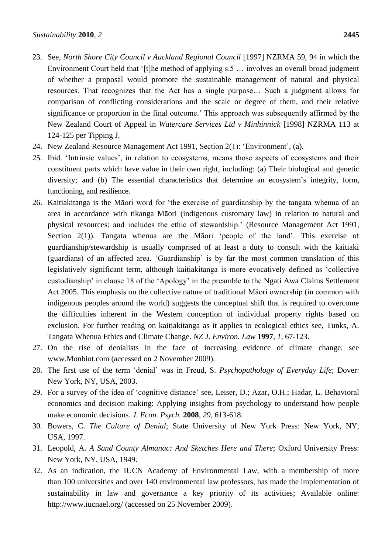- 23. See, *North Shore City Council v Auckland Regional Council* [1997] NZRMA 59, 94 in which the Environment Court held that '[t]he method of applying s.5 ... involves an overall broad judgment of whether a proposal would promote the sustainable management of natural and physical resources. That recognizes that the Act has a single purpose… Such a judgment allows for comparison of conflicting considerations and the scale or degree of them, and their relative significance or proportion in the final outcome.' This approach was subsequently affirmed by the New Zealand Court of Appeal in *Watercare Services Ltd v Minhinnick* [1998] NZRMA 113 at 124-125 per Tipping J.
- 24. New Zealand Resource Management Act 1991, Section 2(1): ‗Environment', (a).
- 25. Ibid. ‗Intrinsic values', in relation to ecosystems, means those aspects of ecosystems and their constituent parts which have value in their own right, including: (a) Their biological and genetic diversity; and (b) The essential characteristics that determine an ecosystem's integrity, form, functioning, and resilience.
- 26. Kaitiakitanga is the Māori word for 'the exercise of guardianship by the tangata whenua of an area in accordance with tikanga Māori (indigenous customary law) in relation to natural and physical resources; and includes the ethic of stewardship.' (Resource Management Act 1991, Section  $2(1)$ ). Tangata whenua are the Māori 'people of the land'. This exercise of guardianship/stewardship is usually comprised of at least a duty to consult with the kaitiaki (guardians) of an affected area. 'Guardianship' is by far the most common translation of this legislatively significant term, although kaitiakitanga is more evocatively defined as 'collective custodianship' in clause 18 of the ‗Apology' in the preamble to the Ngati Awa Claims Settlement Act 2005. This emphasis on the collective nature of traditional Māori ownership (in common with indigenous peoples around the world) suggests the conceptual shift that is required to overcome the difficulties inherent in the Western conception of individual property rights based on exclusion. For further reading on kaitiakitanga as it applies to ecological ethics see, Tunks, A. Tangata Whenua Ethics and Climate Change. *NZ J. Environ. Law* **1997**, *1*, 67-123.
- 27. On the rise of denialists in the face of increasing evidence of climate change, see www.Monbiot.com (accessed on 2 November 2009).
- 28. The first use of the term ‗denial' was in Freud, S. *Psychopathology of Everyday Life*; Dover: New York, NY, USA, 2003.
- 29. For a survey of the idea of ‗cognitive distance' see, Leiser, D.; Azar, O.H.; Hadar, L. Behavioral economics and decision making: Applying insights from psychology to understand how people make economic decisions. *J. Econ. Psych.* **2008**, *29*, 613-618.
- 30. Bowers, C. *The Culture of Denial*; State University of New York Press: New York, NY, USA, 1997.
- 31. Leopold, A. *A Sand County Almanac: And Sketches Here and There*; Oxford University Press: New York, NY, USA, 1949.
- 32. As an indication, the IUCN Academy of Environmental Law, with a membership of more than 100 universities and over 140 environmental law professors, has made the implementation of sustainability in law and governance a key priority of its activities; Available online: http://www.iucnael.org/ (accessed on 25 November 2009).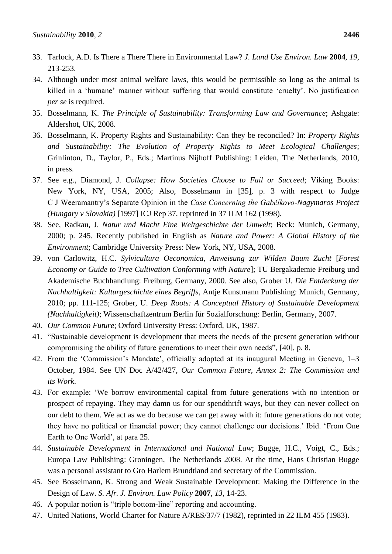- 33. Tarlock, A.D. Is There a There There in Environmental Law? *J. Land Use Environ. Law* **2004**, *19*, 213-253.
- 34. Although under most animal welfare laws, this would be permissible so long as the animal is killed in a 'humane' manner without suffering that would constitute 'cruelty'. No justification *per se* is required.
- 35. Bosselmann, K. *The Principle of Sustainability: Transforming Law and Governance*; Ashgate: Aldershot, UK, 2008.
- 36. Bosselmann, K. Property Rights and Sustainability: Can they be reconciled? In: *Property Rights and Sustainability: The Evolution of Property Rights to Meet Ecological Challenges*; Grinlinton, D., Taylor, P., Eds.; Martinus Nijhoff Publishing: Leiden, The Netherlands, 2010, in press.
- 37. See e.g., Diamond, J. *Collapse: How Societies Choose to Fail or Succeed*; Viking Books: New York, NY, USA, 2005; Also, Bosselmann in [35], p. 3 with respect to Judge C J Weeramantry's Separate Opinion in the *Case Concerning the Gabčíkovo-Nagymaros Project (Hungary v Slovakia)* [1997] ICJ Rep 37, reprinted in 37 ILM 162 (1998).
- 38. See, Radkau, J. *Natur und Macht Eine Weltgeschichte der Umwelt*; Beck: Munich, Germany, 2000; p. 245. Recently published in English as *Nature and Power: A Global History of the Environment*; Cambridge University Press: New York, NY, USA, 2008.
- 39. von Carlowitz, H.C. *Sylvicultura Oeconomica, Anweisung zur Wilden Baum Zucht* [*Forest Economy or Guide to Tree Cultivation Conforming with Nature*]; TU Bergakademie Freiburg und Akademische Buchhandlung: Freiburg, Germany, 2000. See also, Grober U. *Die Entdeckung der Nachhaltigkeit: Kulturgeschichte eines Begriffs*, Antje Kunstmann Publishing: Munich, Germany, 2010; pp. 111-125; Grober, U. *Deep Roots: A Conceptual History of Sustainable Development (Nachhaltigkeit)*; Wissenschaftzentrum Berlin für Sozialforschung: Berlin, Germany, 2007.
- 40. *Our Common Future*; Oxford University Press: Oxford, UK, 1987.
- 41. "Sustainable development is development that meets the needs of the present generation without compromising the ability of future generations to meet their own needs", [40], p. 8.
- 42. From the 'Commission's Mandate', officially adopted at its inaugural Meeting in Geneva, 1–3 October, 1984. See UN Doc A/42/427, *Our Common Future, Annex 2: The Commission and its Work*.
- 43. For example: ‗We borrow environmental capital from future generations with no intention or prospect of repaying. They may damn us for our spendthrift ways, but they can never collect on our debt to them. We act as we do because we can get away with it: future generations do not vote; they have no political or financial power; they cannot challenge our decisions.' Ibid. ‗From One Earth to One World', at para 25.
- 44. *Sustainable Development in International and National Law*; Bugge, H.C., Voigt, C., Eds.; Europa Law Publishing: Groningen, The Netherlands 2008. At the time, Hans Christian Bugge was a personal assistant to Gro Harlem Brundtland and secretary of the Commission.
- 45. See Bosselmann, K. Strong and Weak Sustainable Development: Making the Difference in the Design of Law. *S. Afr. J. Environ. Law Policy* **2007**, *13*, 14-23.
- 46. A popular notion is "triple bottom-line" reporting and accounting.
- 47. United Nations, World Charter for Nature A/RES/37/7 (1982), reprinted in 22 ILM 455 (1983).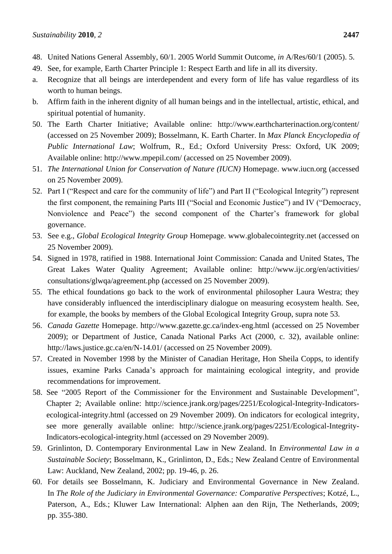- 48. United Nations General Assembly, 60/1. 2005 World Summit Outcome, *in* A/Res/60/1 (2005). 5.
- 49. See, for example, Earth Charter Principle 1: Respect Earth and life in all its diversity.
- a. Recognize that all beings are interdependent and every form of life has value regardless of its worth to human beings.
- b. Affirm faith in the inherent dignity of all human beings and in the intellectual, artistic, ethical, and spiritual potential of humanity.
- 50. The Earth Charter Initiative; Available online: http://www.earthcharterinaction.org/content/ (accessed on 25 November 2009); Bosselmann, K. Earth Charter. In *Max Planck Encyclopedia of Public International Law*; Wolfrum, R., Ed.; Oxford University Press: Oxford, UK 2009; Available online: http://www.mpepil.com/ (accessed on 25 November 2009).
- 51. *The International Union for Conservation of Nature (IUCN)* Homepage. www.iucn.org (accessed on 25 November 2009).
- 52. Part I ("Respect and care for the community of life") and Part II ("Ecological Integrity") represent the first component, the remaining Parts III ("Social and Economic Justice") and IV ("Democracy, Nonviolence and Peace") the second component of the Charter's framework for global governance.
- 53. See e.g., *Global Ecological Integrity Group* Homepage. www.globalecointegrity.net (accessed on 25 November 2009).
- 54. Signed in 1978, ratified in 1988. International Joint Commission: Canada and United States, The Great Lakes Water Quality Agreement; Available online: http://www.ijc.org/en/activities/ consultations/glwqa/agreement.php (accessed on 25 November 2009).
- 55. The ethical foundations go back to the work of environmental philosopher Laura Westra; they have considerably influenced the interdisciplinary dialogue on measuring ecosystem health. See, for example, the books by members of the Global Ecological Integrity Group, supra note 53.
- 56. *Canada Gazette* Homepage. http://www.gazette.gc.ca/index-eng.html (accessed on 25 November 2009); or Department of Justice, Canada National Parks Act (2000, c. 32), available online: http://laws.justice.gc.ca/en/N-14.01/ (accessed on 25 November 2009).
- 57. Created in November 1998 by the Minister of Canadian Heritage, Hon Sheila Copps, to identify issues, examine Parks Canada's approach for maintaining ecological integrity, and provide recommendations for improvement.
- 58. See "2005 Report of the Commissioner for the Environment and Sustainable Development", Chapter 2; Available online: http://science.jrank.org/pages/2251/Ecological-Integrity-Indicatorsecological-integrity.html (accessed on 29 November 2009). On indicators for ecological integrity, see more generally available online: http://science.jrank.org/pages/2251/Ecological-Integrity-Indicators-ecological-integrity.html (accessed on 29 November 2009).
- 59. Grinlinton, D. Contemporary Environmental Law in New Zealand. In *Environmental Law in a Sustainable Society*; Bosselmann, K., Grinlinton, D., Eds.; New Zealand Centre of Environmental Law: Auckland, New Zealand, 2002; pp. 19-46, p. 26.
- 60. For details see Bosselmann, K. Judiciary and Environmental Governance in New Zealand. In *The Role of the Judiciary in Environmental Governance: Comparative Perspectives*; Kotzé, L., Paterson, A., Eds.; Kluwer Law International: Alphen aan den Rijn, The Netherlands, 2009; pp. 355-380.